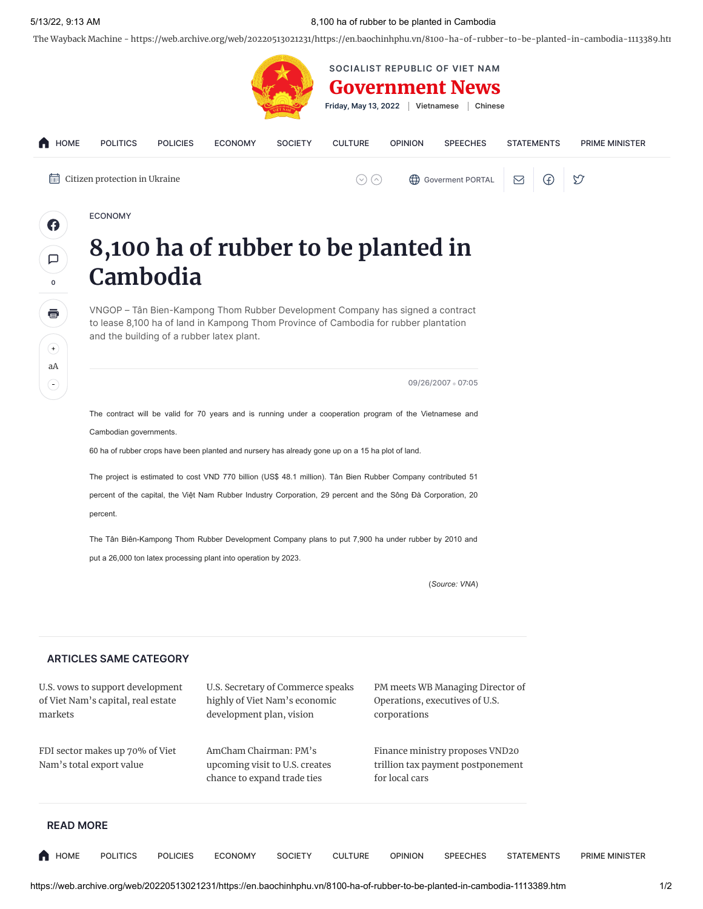## 5/13/22, 9:13 AM 8,100 ha of rubber to be planted in Cambodia

The Wayback Machine - https://web.archive.org/web/20220513021231/https://en.baochinhphu.vn/8100-ha-of-rubber-to-be-planted-in-cambodia-1113389.htm